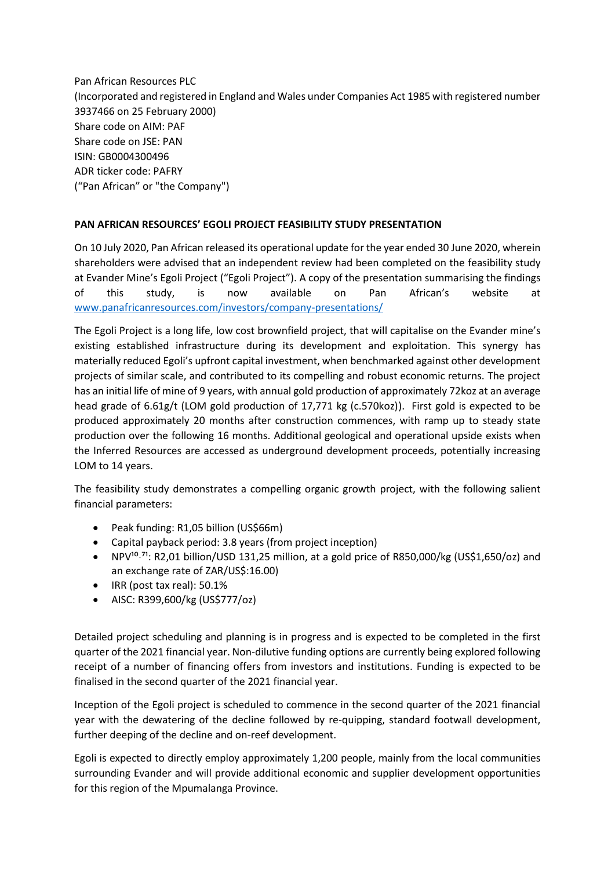Pan African Resources PLC (Incorporated and registered in England and Wales under Companies Act 1985 with registered number 3937466 on 25 February 2000) Share code on AIM: PAF Share code on JSE: PAN ISIN: GB0004300496 ADR ticker code: PAFRY ("Pan African" or "the Company")

## **PAN AFRICAN RESOURCES' EGOLI PROJECT FEASIBILITY STUDY PRESENTATION**

On 10 July 2020, Pan African released its operational update for the year ended 30 June 2020, wherein shareholders were advised that an independent review had been completed on the feasibility study at Evander Mine's Egoli Project ("Egoli Project"). A copy of the presentation summarising the findings of this study, is now available on Pan African's website at [www.panafricanresources.com/investors/company-presentations/](http://www.panafricanresources.com/investors/company-presentations/)

The Egoli Project is a long life, low cost brownfield project, that will capitalise on the Evander mine's existing established infrastructure during its development and exploitation. This synergy has materially reduced Egoli's upfront capital investment, when benchmarked against other development projects of similar scale, and contributed to its compelling and robust economic returns. The project has an initial life of mine of 9 years, with annual gold production of approximately 72koz at an average head grade of 6.61g/t (LOM gold production of 17,771 kg (c.570koz)). First gold is expected to be produced approximately 20 months after construction commences, with ramp up to steady state production over the following 16 months. Additional geological and operational upside exists when the Inferred Resources are accessed as underground development proceeds, potentially increasing LOM to 14 years.

The feasibility study demonstrates a compelling organic growth project, with the following salient financial parameters:

- Peak funding: R1,05 billion (US\$66m)
- Capital payback period: 3.8 years (from project inception)
- NPV<sup>10,71</sup>: R2,01 billion/USD 131,25 million, at a gold price of R850,000/kg (US\$1,650/oz) and an exchange rate of ZAR/US\$:16.00)
- IRR (post tax real): 50.1%
- AISC: R399,600/kg (US\$777/oz)

Detailed project scheduling and planning is in progress and is expected to be completed in the first quarter of the 2021 financial year. Non-dilutive funding options are currently being explored following receipt of a number of financing offers from investors and institutions. Funding is expected to be finalised in the second quarter of the 2021 financial year.

Inception of the Egoli project is scheduled to commence in the second quarter of the 2021 financial year with the dewatering of the decline followed by re-quipping, standard footwall development, further deeping of the decline and on-reef development.

Egoli is expected to directly employ approximately 1,200 people, mainly from the local communities surrounding Evander and will provide additional economic and supplier development opportunities for this region of the Mpumalanga Province.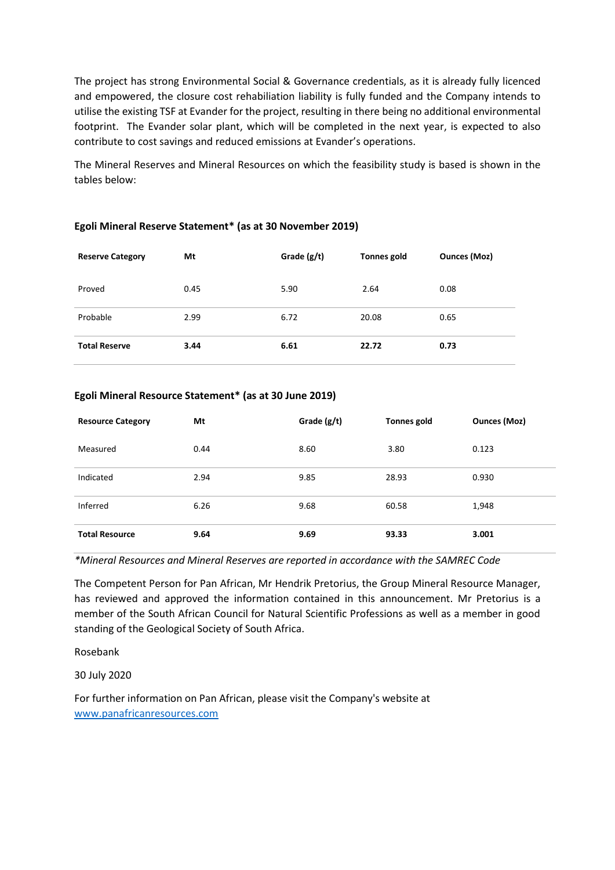The project has strong Environmental Social & Governance credentials, as it is already fully licenced and empowered, the closure cost rehabiliation liability is fully funded and the Company intends to utilise the existing TSF at Evander for the project, resulting in there being no additional environmental footprint. The Evander solar plant, which will be completed in the next year, is expected to also contribute to cost savings and reduced emissions at Evander's operations.

The Mineral Reserves and Mineral Resources on which the feasibility study is based is shown in the tables below:

| <b>Reserve Category</b> | Mt   | Grade $(g/t)$ | <b>Tonnes gold</b> | <b>Ounces (Moz)</b> |
|-------------------------|------|---------------|--------------------|---------------------|
| Proved                  | 0.45 | 5.90          | 2.64               | 0.08                |
| Probable                | 2.99 | 6.72          | 20.08              | 0.65                |
| <b>Total Reserve</b>    | 3.44 | 6.61          | 22.72              | 0.73                |

## **Egoli Mineral Reserve Statement\* (as at 30 November 2019)**

## **Egoli Mineral Resource Statement\* (as at 30 June 2019)**

| <b>Resource Category</b> | Mt   | Grade $(g/t)$ | Tonnes gold | <b>Ounces (Moz)</b> |
|--------------------------|------|---------------|-------------|---------------------|
| Measured                 | 0.44 | 8.60          | 3.80        | 0.123               |
| Indicated                | 2.94 | 9.85          | 28.93       | 0.930               |
| Inferred                 | 6.26 | 9.68          | 60.58       | 1,948               |
| <b>Total Resource</b>    | 9.64 | 9.69          | 93.33       | 3.001               |

*\*Mineral Resources and Mineral Reserves are reported in accordance with the SAMREC Code*

The Competent Person for Pan African, Mr Hendrik Pretorius, the Group Mineral Resource Manager, has reviewed and approved the information contained in this announcement. Mr Pretorius is a member of the South African Council for Natural Scientific Professions as well as a member in good standing of the Geological Society of South Africa.

Rosebank

30 July 2020

For further information on Pan African, please visit the Company's website at [www.panafricanresources.com](http://www.panafricanresources.com/)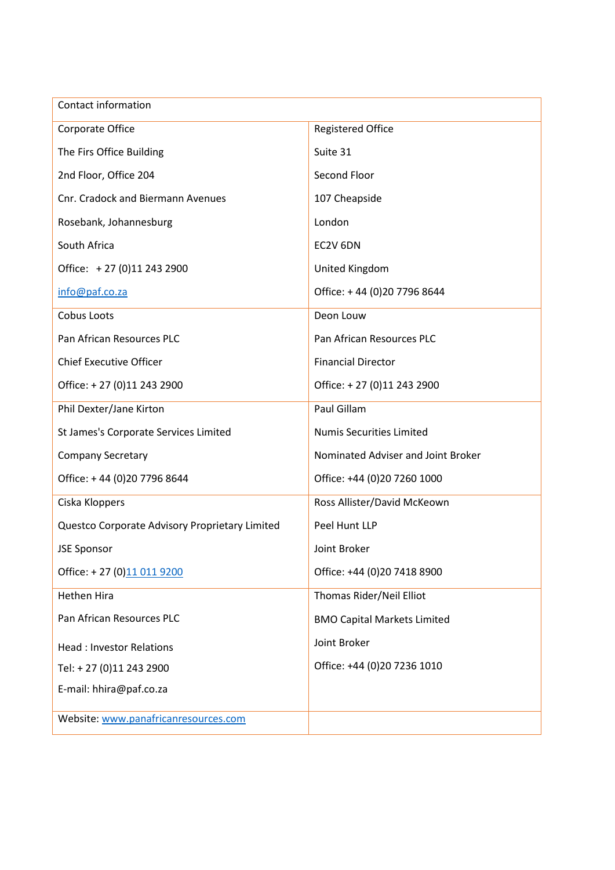| Contact information                            |                                    |  |  |  |
|------------------------------------------------|------------------------------------|--|--|--|
| Corporate Office                               | <b>Registered Office</b>           |  |  |  |
| The Firs Office Building                       | Suite 31                           |  |  |  |
| 2nd Floor, Office 204                          | Second Floor                       |  |  |  |
| Cnr. Cradock and Biermann Avenues              | 107 Cheapside                      |  |  |  |
| Rosebank, Johannesburg                         | London                             |  |  |  |
| South Africa                                   | EC2V 6DN                           |  |  |  |
| Office: +27 (0)11 243 2900                     | United Kingdom                     |  |  |  |
| info@paf.co.za                                 | Office: +44 (0)20 7796 8644        |  |  |  |
| Cobus Loots                                    | Deon Louw                          |  |  |  |
| Pan African Resources PLC                      | Pan African Resources PLC          |  |  |  |
| <b>Chief Executive Officer</b>                 | <b>Financial Director</b>          |  |  |  |
| Office: +27 (0)11 243 2900                     | Office: +27 (0)11 243 2900         |  |  |  |
| Phil Dexter/Jane Kirton                        | Paul Gillam                        |  |  |  |
| St James's Corporate Services Limited          | <b>Numis Securities Limited</b>    |  |  |  |
| <b>Company Secretary</b>                       | Nominated Adviser and Joint Broker |  |  |  |
| Office: +44 (0)20 7796 8644                    | Office: +44 (0)20 7260 1000        |  |  |  |
| Ciska Kloppers                                 | Ross Allister/David McKeown        |  |  |  |
| Questco Corporate Advisory Proprietary Limited | Peel Hunt LLP                      |  |  |  |
| <b>JSE Sponsor</b>                             | Joint Broker                       |  |  |  |
| Office: +27 (0)11 011 9200                     | Office: +44 (0)20 7418 8900        |  |  |  |
| Hethen Hira                                    | Thomas Rider/Neil Elliot           |  |  |  |
| Pan African Resources PLC                      | <b>BMO Capital Markets Limited</b> |  |  |  |
| <b>Head: Investor Relations</b>                | Joint Broker                       |  |  |  |
| Tel: +27 (0)11 243 2900                        | Office: +44 (0)20 7236 1010        |  |  |  |
| E-mail: hhira@paf.co.za                        |                                    |  |  |  |
| Website: www.panafricanresources.com           |                                    |  |  |  |